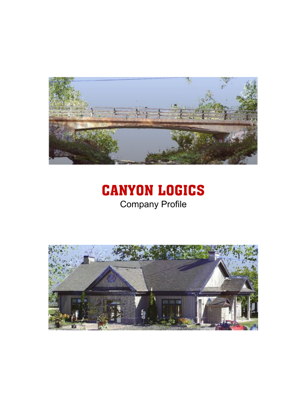

# CANYON LOGICS Company Profile

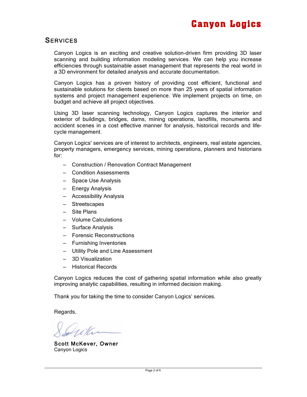### **SERVICES**

Canyon Logics is an exciting and creative solution-driven firm providing 3D laser scanning and building information modeling services. We can help you increase efficiencies through sustainable asset management that represents the real world in a 3D environment for detailed analysis and accurate documentation.

Canyon Logics has a proven history of providing cost efficient, functional and sustainable solutions for clients based on more than 25 years of spatial information systems and project management experience. We implement projects on time, on budget and achieve all project objectives.

Using 3D laser scanning technology, Canyon Logics captures the interior and exterior of buildings, bridges, dams, mining operations, landfills, monuments and accident scenes in a cost effective manner for analysis, historical records and lifecycle management.

Canyon Logics' services are of interest to architects, engineers, real estate agencies, property managers, emergency services, mining operations, planners and historians for:

- ‒ Construction / Renovation Contract Management
- ‒ Condition Assessments
- ‒ Space Use Analysis
- ‒ Energy Analysis
- ‒ Accessibility Analysis
- ‒ Streetscapes
- Site Plans
- ‒ Volume Calculations
- ‒ Surface Analysis
- ‒ Forensic Reconstructions
- ‒ Furnishing Inventories
- ‒ Utility Pole and Line Assessment
- ‒ 3D Visualization
- ‒ Historical Records

Canyon Logics reduces the cost of gathering spatial information while also greatly improving analytic capabilities, resulting in informed decision making.

Thank you for taking the time to consider Canyon Logics' services.

Regards,

Scott McKever, Owner Canyon Logics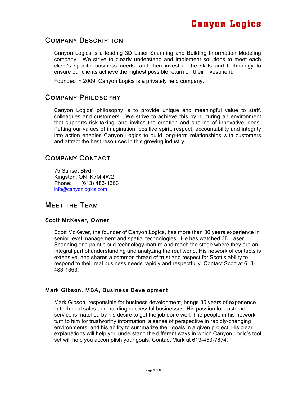## COMPANY DESCRIPTION

Canyon Logics is a leading 3D Laser Scanning and Building Information Modeling company. We strive to clearly understand and implement solutions to meet each client's specific business needs, and then invest in the skills and technology to ensure our clients achieve the highest possible return on their investment.

Founded in 2009, Canyon Logics is a privately held company.

## COMPANY PHILOSOPHY

Canyon Logics' philosophy is to provide unique and meaningful value to staff, colleagues and customers. We strive to achieve this by nurturing an environment that supports risk-taking, and invites the creation and sharing of innovative ideas. Putting our values of imagination, positive spirit, respect, accountability and integrity into action enables Canyon Logics to build long-term relationships with customers and attract the best resources in this growing industry.

## COMPANY CONTACT

75 Sunset Blvd. Kingston, ON K7M 4W2 Phone: (613) 483-1363 info@canyonlogics.com

## MEET THE TEAM

#### Scott McKever, Owner

Scott McKever, the founder of Canyon Logics, has more than 30 years experience in senior level management and spatial technologies. He has watched 3D Laser Scanning and point cloud technology mature and reach the stage where they are an integral part of understanding and analyzing the real world. His network of contacts is extensive, and shares a common thread of trust and respect for Scott's ability to respond to their real business needs rapidly and respectfully. Contact Scott at 613- 483-1363.

#### Mark Gibson, MBA, Business Development

Mark Gibson, responsible for business development, brings 30 years of experience in technical sales and building successful businesses. His passion for customer service is matched by his desire to get the job done well. The people in his network turn to him for trustworthy information, a sense of perspective in rapidly-changing environments, and his ability to summarize their goals in a given project. His clear explanations will help you understand the different ways in which Canyon Logic's tool set will help you accomplish your goals. Contact Mark at 613-453-7674.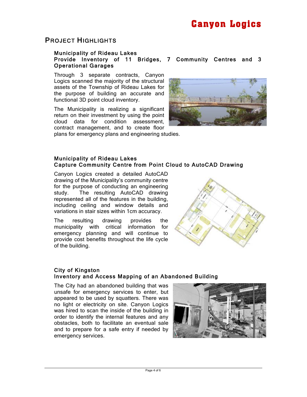### PROJECT HIGHLIGHTS

#### Municipality of Rideau Lakes Provide Inventory of 11 Bridges, 7 Community Centres and 3 Operational Garages

Through 3 separate contracts, Canyon Logics scanned the majority of the structural assets of the Township of Rideau Lakes for the purpose of building an accurate and functional 3D point cloud inventory.

The Municipality is realizing a significant return on their investment by using the point cloud data for condition assessment, contract management, and to create floor plans for emergency plans and engineering studies.



#### Municipality of Rideau Lakes Capture Community Centre from Point Cloud to AutoCAD Drawing

Canyon Logics created a detailed AutoCAD drawing of the Municipality's community centre for the purpose of conducting an engineering study. The resulting AutoCAD drawing represented all of the features in the building, including ceiling and window details and variations in stair sizes within 1cm accuracy.

The resulting drawing provides the municipality with critical information for emergency planning and will continue to provide cost benefits throughout the life cycle of the building.



#### City of Kingston Inventory and Access Mapping of an Abandoned Building

The City had an abandoned building that was unsafe for emergency services to enter, but appeared to be used by squatters. There was no light or electricity on site. Canyon Logics was hired to scan the inside of the building in order to identify the internal features and any obstacles, both to facilitate an eventual sale and to prepare for a safe entry if needed by emergency services.

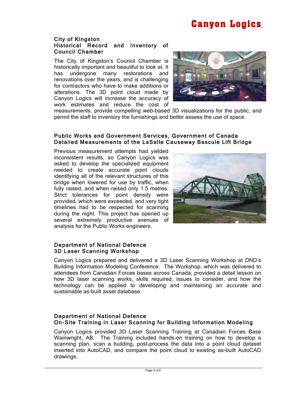## Canyon Logics

#### City of Kingston Historical Record and Inventory of Council Chamber

The City of Kingston's Council Chamber is historically important and beautiful to look at. It has undergone many restorations and renovations over the years, and is challenging for contractors who have to make additions or alterations. The 3D point cloud made by Canyon Logics will increase the accuracy of work estimates and reduce the cost of



measurements, provide compelling web-based 3D visualizations for the public, and permit the staff to inventory the furnishings and better assess the use of space.

#### Public Works and Government Services, Government of Canada Detailed Measurements of the LaSalle Causeway Bascule Lift Bridge

Previous measurement attempts had yielded inconsistent results, so Canyon Logics was asked to develop the specialized equipment needed to create accurate point clouds identifying all of the relevant structures of this bridge when lowered for use by traffic, when fully raised, and when raised only 1.5 metres. Strict tolerances for point density were provided, which were exceeded, and very tight timelines had to be respected for scanning during the night. This project has opened up several extremely productive avenues of analysis for the Public Works engineers.



#### Department of National Defence 3D Laser Scanning Workshop

Canyon Logics prepared and delivered a 3D Laser Scanning Workshop at DND's Building Information Modeling Conference. The Workshop, which was delivered to attendees from Canadian Forces bases across Canada, provided a detail lesson on how 3D laser scanning works, skills required, issues to consider, and how the technology can be applied to developing and maintaining an accurate and sustainable as-built asset database.

#### Department of National Defence On-Site Training in Laser Scanning for Building Information Modeling

Canyon Logics provided 3D Laser Scanning Training at Canadian Forces Base Wainwright, AB. The Training included hands-on training on how to develop a scanning plan, scan a building, post-process the data into a point cloud dataset inserted into AutoCAD, and compare the point cloud to existing as-built AutoCAD drawings.